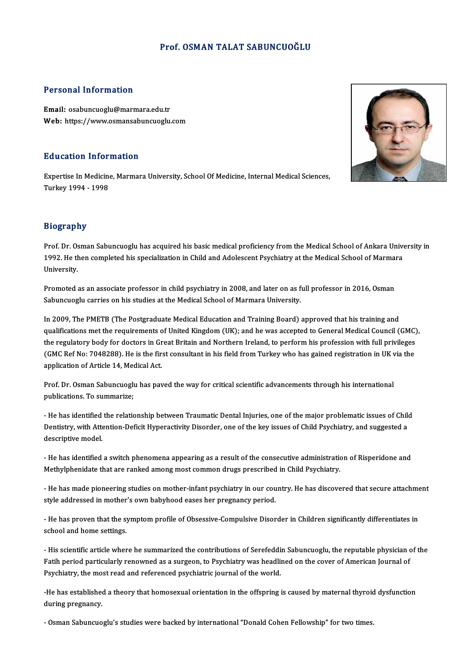### Prof. OSMAN TALAT SABUNCUOĞLU

### Personal Information

Email: osabuncuoglu@marmara.edu.tr Web: https://www.osmansabuncuoglu.com

### Education Information

E**ducation Information**<br>Expertise In Medicine, Marmara University, School Of Medicine, Internal Medical Sciences,<br>Turkey 1994, 1998 Expertise In Medicine<br>Turkey 1994 - 1998

### Biography

Biography<br>Prof. Dr. Osman Sabuncuoglu has acquired his basic medical proficiency from the Medical School of Ankara University in<br>1992. He than completed his coocialization in Child and Adelescent Bayebiatry at the Medical 210g. up.1.<br>Prof. Dr. Osman Sabuncuoglu has acquired his basic medical proficiency from the Medical School of Ankara Unive<br>1992. He then completed his specialization in Child and Adolescent Psychiatry at the Medical School Prof. Dr. Os<br>1992. He tl<br>University.

Promoted as an associate professor in child psychiatry in 2008, and later on as full professor in 2016, Osman<br>Promoted as an associate professor in child psychiatry in 2008, and later on as full professor in 2016, Osman<br>Se omversity.<br>Promoted as an associate professor in child psychiatry in 2008, and later on as f<br>Sabuncuoglu carries on his studies at the Medical School of Marmara University.

In Unioned as an associate professor in einig psychiatry in 2000, and later on as run professor in 2010, Osman<br>Sabuncuoglu carries on his studies at the Medical School of Marmara University.<br>In 2009, The PMETB (The Postgra abuncuogia carries on insistances at the method senoti of marinara oniversity.<br>In 2009, The PMETB (The Postgraduate Medical Education and Training Board) approved that his training and<br>qualifications met the requirements o In 2009, The PMETB (The Postgraduate Medical Education and Training Board) approved that his training and<br>qualifications met the requirements of United Kingdom (UK); and he was accepted to General Medical Council (GMC)<br>the qualifications met the requirements of United Kingdom (UK); and he was accepted to General Medical Council (GMC), the regulatory body for doctors in Great Britain and Northern Ireland, to perform his profession with full p (GMC Ref No: 7048288). He is the first consultant in his field from Turkey who has gained registration in UK via the

prof. Dr. Osman Sabuncuoglu has paved the way for critical scientific advancements through his international<br>Prof. Dr. Osman Sabuncuoglu has paved the way for critical scientific advancements through his international<br>publ pplication of firect 14, met<br>Prof. Dr. Osman Sabuncuogli<br>publications. To summarize; publications. To summarize;<br>- He has identified the relationship between Traumatic Dental Injuries, one of the major problematic issues of Child

publications. To summarize,<br>- He has identified the relationship between Traumatic Dental Injuries, one of the major problematic issues of Chil<br>Dentistry, with Attention-Deficit Hyperactivity Disorder, one of the key issue - He has identified<br>Dentistry, with Atte<br>descriptive model.

behasaly, with riteration beher hyperactivity bisorder, one of the key issues of efficiency and raggested a<br>descriptive model.<br>Methylphopidate that are rapied among meet common drugs prescribed in Child Beychistry. ueseripuve mouer.<br>- He has identified a switch phenomena appearing as a result of the consecutive administratic<br>Methylphenidate that are ranked among most common drugs prescribed in Child Psychiatry.

-He has memmed a switch phenomena appearing as a result of the consecutive atiminist ation of Kisperhaone and<br>Methylphenidate that are ranked among most common drugs prescribed in Child Psychiatry.<br>He has made pioneering s style addressed in mother's own babyhood eases her pregnancy period.<br>Style addressed in mother's own babyhood eases her pregnancy period.

- He has made ploneering stadies on modier-miant psychiatry in our country. He has discovered that secure attachmic<br>style addressed in mother's own babyhood eases her pregnancy period.<br>- He has proven that the symptom prof style addressed in modier<br>- He has proven that the syschool and home settings.

- He has proven that the symptom prome of obsessive-compulsive bisorder in emitten significantly unterentates in<br>school and home settings.<br>Fatih pariod particularly repoymed as a syngeon to Paychiatry was boodlined on the schoor and nome settings.<br>- His scientific article where he summarized the contributions of Serefeddin Sabuncuoglu, the reputable physician c<br>Fatih period particularly renowned as a surgeon, to Psychiatry was headlined on Fatih period particularly renowned as a surgeon, to Psychiatry was headlined on the cover of American Journal of<br>Psychiatry, the most read and referenced psychiatric journal of the world.

-He has established a theory that homosexual orientation in the offspring is caused by maternal thyroid dysfunction during pregnancy.

- Osman Sabuncuoglu's studies were backed by international "Donald Cohen Fellowship" for two times.

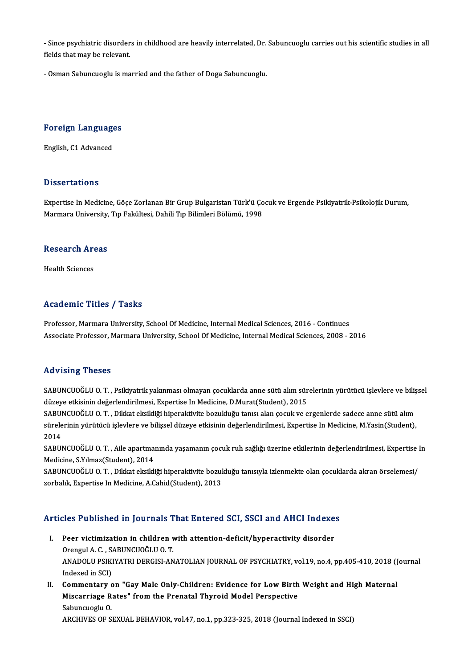- Since psychiatric disorders in childhood are heavily interrelated, Dr. Sabuncuoglu carries out his scientific studies in all<br>fields that may be relevent - Since psychiatric disorder<br>fields that may be relevant.

fields that may be relevant.<br>- Osman Sabuncuoglu is married and the father of Doga Sabuncuoglu.

## Foreign Languages <mark>Foreign Language</mark><br>English, C1 Advanced

English, C1 Advanced<br>Dissertations

Dissertations<br>Expertise In Medicine, Göçe Zorlanan Bir Grup Bulgaristan Türk'ü Çocuk ve Ergende Psikiyatrik-Psikolojik Durum,<br>Marmare University, Tın Felsiktesi, Dabili Tın Bilimleri Bölümü, 1998 Basser tatrons<br>Expertise In Medicine, Göçe Zorlanan Bir Grup Bulgaristan Türk'ü Ço<br>Marmara University, Tıp Fakültesi, Dahili Tıp Bilimleri Bölümü, 1998

## marmara university,<br>Research Areas R<mark>esearch Ar</mark><br>Health Sciences

# Academic Titles / Tasks

Professor, Marmara University, School Of Medicine, Internal Medical Sciences, 2016 - Continues Associate Professor, Marmara University, School Of Medicine, Internal Medical Sciences, 2008 - 2016

### Advising Theses

Advising Theses<br>SABUNCUOĞLU O.T. , Psikiyatrik yakınması olmayan çocuklarda anne sütü alım sürelerinin yürütücü işlevlere ve bilişsel<br>düreye etkişinin değerlendirilmesi, Eunertise In Medicine, D.Murat(Student), 2015 rıa vasıng "ricses"<br>SABUNCUOĞLU O. T. , Psikiyatrik yakınması olmayan çocuklarda anne sütü alım sür<br>düzeye etkisinin değerlendirilmesi, Expertise In Medicine, D.Murat(Student), 2015<br>SABUNCUOĞLU O. T. - Dikkat eksikliği bin SABUNCUOĞLU O. T. , Psikiyatrik yakınması olmayan çocuklarda anne sütü alım sürelerinin yürütücü işlevlere ve biliş<br>düzeye etkisinin değerlendirilmesi, Expertise In Medicine, D.Murat(Student), 2015<br>SABUNCUOĞLU O. T. , Dikk

düzeye etkisinin değerlendirilmesi, Expertise In Medicine, D.Murat(Student), 2015<br>SABUNCUOĞLU O. T. , Dikkat eksikliği hiperaktivite bozukluğu tanısı alan çocuk ve ergenlerde sadece anne sütü alım<br>sürelerinin yürütücü işle SABUI<br>sürele<br>2014<br>sapu sürelerinin yürütücü işlevlere ve bilişsel düzeye etkisinin değerlendirilmesi, Expertise In Medicine, M.Yasin(Student),<br>2014<br>SABUNCUOĞLU O. T. , Aile apartmanında yaşamanın çocuk ruh sağlığı üzerine etkilerinin değerlendir

2014<br>SABUNCUOĞLU O. T. , Aile apartma<br>Medicine, S.Yılmaz(Student), 2014<br>SABUNCUOĞLU O. T., Dikket eksikli SABUNCUOĞLU O. T. , Aile apartmanında yaşamanın çocuk ruh sağlığı üzerine etkilerinin değerlendirilmesi, Expertise l<br>Medicine, S.Yılmaz(Student), 2014<br>SABUNCUOĞLU O. T. , Dikkat eksikliği hiperaktivite bozukluğu tanısıyla

Medicine, S.Yılmaz(Student), 2014<br>SABUNCUOĞLU O. T. , Dikkat eksikliği hiperaktivite bozukluğu tanısıyla izlenmekte olan çocuklarda akran örselemesi/<br>zorbalık, Expertise In Medicine, A.Cahid(Student), 2013

# zoroalik, experise in Medicine, A.Canid(student), 2013<br>Articles Published in Journals That Entered SCI, SSCI and AHCI Indexes

- rticles Published in Journals That Entered SCI, SSCI and AHCI Indexe<br>I. Peer victimization in children with attention-deficit/hyperactivity disorder<br>Organul A.C. SARUNCUOČLU O.T. NES TUBLISHED III JOUTHULE T<br>Peer victimization in children v<br>Orengul A.C., SABUNCUOĞLU O.T.<br>ANADOLU BEIKIVATEL BERCISLAN I. Peer victimization in children with attention-deficit/hyperactivity disorder<br>Orengul A. C. , SABUNCUOĞLU O. T.<br>ANADOLU PSIKIYATRI DERGISI-ANATOLIAN JOURNAL OF PSYCHIATRY, vol.19, no.4, pp.405-410, 2018 (Journal<br>Indexed Orengul A. C. , S.<br>ANADOLU PSIKI<br>Indexed in SCI)<br>Commontory ANADOLU PSIKIYATRI DERGISI-ANATOLIAN JOURNAL OF PSYCHIATRY, vol.19, no.4, pp.405-410, 2018 (J<br>Indexed in SCI)<br>II. Commentary on "Gay Male Only-Children: Evidence for Low Birth Weight and High Maternal<br>Miseorriage Pater" fr
- Indexed in SCI)<br>Commentary on "Gay Male Only-Children: Evidence for Low Birth<br>Miscarriage Rates" from the Prenatal Thyroid Model Perspective<br>Sahunguagh: O Commentary<br>Miscarriage R<br>Sabuncuoglu O.<br>APCHIVES OF S Miscarriage Rates" from the Prenatal Thyroid Model Perspective<br>Sabuncuoglu O.<br>ARCHIVES OF SEXUAL BEHAVIOR, vol.47, no.1, pp.323-325, 2018 (Journal Indexed in SSCI)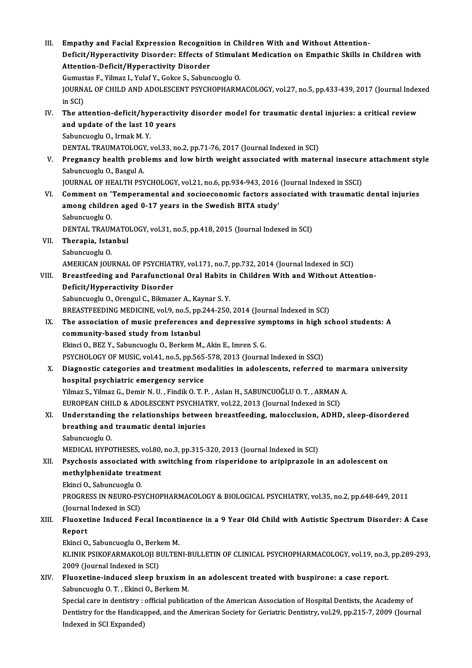| III.  | Empathy and Facial Expression Recognition in Children With and Without Attention-                                |
|-------|------------------------------------------------------------------------------------------------------------------|
|       | Deficit/Hyperactivity Disorder: Effects of Stimulant Medication on Empathic Skills in Children with              |
|       | Attention-Deficit/Hyperactivity Disorder                                                                         |
|       | Gumustas F., Yilmaz I., Yulaf Y., Gokce S., Sabuncuoglu O.                                                       |
|       | JOURNAL OF CHILD AND ADOLESCENT PSYCHOPHARMACOLOGY, vol.27, no.5, pp.433-439, 2017 (Journal Indexed              |
|       | in SCI)                                                                                                          |
| IV.   | The attention-deficit/hyperactivity disorder model for traumatic dental injuries: a critical review              |
|       | and update of the last 10 years                                                                                  |
|       | Sabuncuoglu O., Irmak M.Y.                                                                                       |
|       | DENTAL TRAUMATOLOGY, vol.33, no.2, pp.71-76, 2017 (Journal Indexed in SCI)                                       |
| V.    | Pregnancy health problems and low birth weight associated with maternal insecure attachment style                |
|       | Sabuncuoglu O., Basgul A.                                                                                        |
|       | JOURNAL OF HEALTH PSYCHOLOGY, vol.21, no.6, pp.934-943, 2016 (Journal Indexed in SSCI)                           |
| VI.   | Comment on 'Temperamental and socioeconomic factors associated with traumatic dental injuries                    |
|       | among children aged 0-17 years in the Swedish BITA study'                                                        |
|       | Sabuncuoglu O.                                                                                                   |
|       | DENTAL TRAUMATOLOGY, vol.31, no.5, pp.418, 2015 (Journal Indexed in SCI)                                         |
| VII.  | Therapia, Istanbul                                                                                               |
|       | Sabuncuoglu O.                                                                                                   |
|       | AMERICAN JOURNAL OF PSYCHIATRY, vol.171, no.7, pp.732, 2014 (Journal Indexed in SCI)                             |
| VIII. | Breastfeeding and Parafunctional Oral Habits in Children With and Without Attention-                             |
|       | Deficit/Hyperactivity Disorder                                                                                   |
|       | Sabuncuoglu O., Orengul C., Bikmazer A., Kaynar S.Y.                                                             |
|       | BREASTFEEDING MEDICINE, vol 9, no.5, pp.244-250, 2014 (Journal Indexed in SCI)                                   |
| IX.   | The association of music preferences and depressive symptoms in high school students: A                          |
|       | community-based study from Istanbul                                                                              |
|       | Ekinci O., BEZ Y., Sabuncuoglu O., Berkem M., Akin E., Imren S. G.                                               |
|       | PSYCHOLOGY OF MUSIC, vol.41, no.5, pp.565-578, 2013 (Journal Indexed in SSCI)                                    |
|       | X. Diagnostic categories and treatment modalities in adolescents, referred to marmara university                 |
|       | hospital psychiatric emergency service                                                                           |
|       | Yilmaz S., Yilmaz G., Demir N. U., Findik O. T. P., Aslan H., SABUNCUOĞLU O. T., ARMAN A.                        |
|       | EUROPEAN CHILD & ADOLESCENT PSYCHIATRY, vol.22, 2013 (Journal Indexed in SCI)                                    |
| XI.   | Understanding the relationships between breastfeeding, malocclusion, ADHD, sleep-disordered                      |
|       | breathing and traumatic dental injuries                                                                          |
|       | Sabuncuoglu O.                                                                                                   |
|       | MEDICAL HYPOTHESES, vol.80, no.3, pp.315-320, 2013 (Journal Indexed in SCI)                                      |
| XII.  | Psychosis associated with switching from risperidone to aripiprazole in an adolescent on                         |
|       | methylphenidate treatment                                                                                        |
|       | Ekinci O., Sabuncuoglu O.                                                                                        |
|       | PROGRESS IN NEURO-PSYCHOPHARMACOLOGY & BIOLOGICAL PSYCHIATRY, vol.35, no.2, pp.648-649, 2011                     |
|       | (Journal Indexed in SCI)                                                                                         |
| XIII. | Fluoxetine Induced Fecal Incontinence in a 9 Year Old Child with Autistic Spectrum Disorder: A Case              |
|       | Report                                                                                                           |
|       | Ekinci O., Sabuncuoglu O., Berkem M.                                                                             |
|       | KLINIK PSIKOFARMAKOLOJI BULTENI-BULLETIN OF CLINICAL PSYCHOPHARMACOLOGY, vol.19, no.3, pp.289-293,               |
|       | 2009 (Journal Indexed in SCI)                                                                                    |
| XIV.  | Fluoxetine-induced sleep bruxism in an adolescent treated with buspirone: a case report.                         |
|       | Sabuncuoglu O.T., Ekinci O., Berkem M.                                                                           |
|       | Special care in dentistry: official publication of the American Association of Hospital Dentists, the Academy of |
|       | Dentistry for the Handicapped, and the American Society for Geriatric Dentistry, vol.29, pp.215-7, 2009 (Journal |
|       | Indexed in SCI Expanded)                                                                                         |
|       |                                                                                                                  |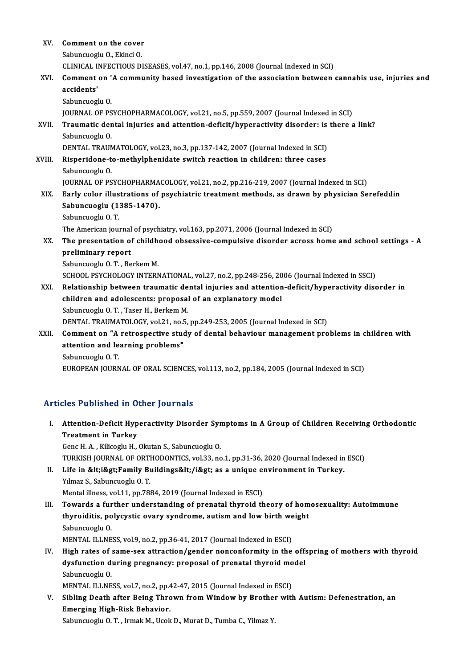| XV.    | Comment on the cover                                                                                                                                         |
|--------|--------------------------------------------------------------------------------------------------------------------------------------------------------------|
|        | Sabuncuoglu O., Ekinci O.                                                                                                                                    |
|        | CLINICAL INFECTIOUS DISEASES, vol.47, no.1, pp.146, 2008 (Journal Indexed in SCI)                                                                            |
| XVI.   | Comment on 'A community based investigation of the association between cannabis use, injuries and<br>accidents'                                              |
|        | Sabuncuoglu O.                                                                                                                                               |
|        | JOURNAL OF PSYCHOPHARMACOLOGY, vol.21, no.5, pp.559, 2007 (Journal Indexed in SCI)                                                                           |
| XVII.  | Traumatic dental injuries and attention-deficit/hyperactivity disorder: is there a link?<br>Sabuncuoglu O.                                                   |
|        | DENTAL TRAUMATOLOGY, vol.23, no.3, pp.137-142, 2007 (Journal Indexed in SCI)                                                                                 |
| XVIII. | Risperidone-to-methylphenidate switch reaction in children: three cases<br>Sabuncuoglu O.                                                                    |
|        | JOURNAL OF PSYCHOPHARMACOLOGY, vol.21, no.2, pp.216-219, 2007 (Journal Indexed in SCI)                                                                       |
| XIX.   | Early color illustrations of psychiatric treatment methods, as drawn by physician Serefeddin<br>Sabuncuoglu (1385-1470).                                     |
|        | Sabuncuoglu O.T.                                                                                                                                             |
|        | The American journal of psychiatry, vol.163, pp.2071, 2006 (Journal Indexed in SCI)                                                                          |
| XX.    | The presentation of childhood obsessive-compulsive disorder across home and school settings - A<br>preliminary report<br>Sabuncuoglu O.T., Berkem M.         |
|        | SCHOOL PSYCHOLOGY INTERNATIONAL, vol.27, no.2, pp.248-256, 2006 (Journal Indexed in SSCI)                                                                    |
| XXI.   | Relationship between traumatic dental injuries and attention-deficit/hyperactivity disorder in<br>children and adolescents: proposal of an explanatory model |
|        | Sabuncuoglu O.T., Taser H., Berkem M.                                                                                                                        |
|        | DENTAL TRAUMATOLOGY, vol.21, no.5, pp.249-253, 2005 (Journal Indexed in SCI)                                                                                 |
| XXII.  | Comment on "A retrospective study of dental behaviour management problems in children with<br>attention and learning problems"                               |
|        | Sabuncuoglu O.T.                                                                                                                                             |
|        | EUROPEAN JOURNAL OF ORAL SCIENCES, vol.113, no.2, pp.184, 2005 (Journal Indexed in SCI)                                                                      |

### Articles Published in Other Journals

- rticles Published in Other Journals<br>I. Attention-Deficit Hyperactivity Disorder Symptoms in A Group of Children Receiving Orthodontic<br> Treatment in Turkey Attention-Deficit Hyp<br>Treatment in Turkey<br>Cons H.A., Kilisosh, H Treatment in Turkey<br>Genc H. A. , Kilicoglu H., Okutan S., Sabuncuoglu O.
	- TURKISH JOURNAL OF ORTHODONTICS, vol.33, no.1, pp.31-36, 2020 (Journal Indexed in ESCI)
- Genc H. A. , Kilicoglu H., Okutan S., Sabuncuoglu O.<br>TURKISH JOURNAL OF ORTHODONTICS, vol.33, no.1, pp.31-36, 2020 (Journal Indexed in<br>II. Life in &lt;i&gt;Family Buildings&lt;/i&gt; as a unique environment in Turkey.<br>Vilm Yılmaz S., Sabuncuoglu O. T.<br>Mental illness, vol.11, pp.7884, 2019 (Journal Indexed in ESCI) Life in <i&gt;Family Buildings&lt;/i&gt; as a unique explained and the explained in ESCI)<br>Mental illness, vol.11, pp.7884, 2019 (Journal Indexed in ESCI)<br>Towards a further understanding of prenatal thuroid th
- Yılmaz S., Sabuncuoglu O. T.<br>Mental illness, vol.11, pp.7884, 2019 (Journal Indexed in ESCI)<br>III. Towards a further understanding of prenatal thyroid theory of homosexuality: Autoimmune<br>thuroiditis, polygystic overy syndro Mental illness, vol.11, pp.7884, 2019 (Journal Indexed in ESCI)<br>Towards a further understanding of prenatal thyroid theory of hom<br>thyroiditis, polycystic ovary syndrome, autism and low birth weight<br>Sehunguagh: 0 Towards a fur<br>thyroiditis, po<br>Sabuncuoglu O.<br>MENTAL ILLNE thyroiditis, polycystic ovary syndrome, autism and low birth weight<br>Sabuncuoglu O.<br>MENTAL ILLNESS, vol.9, no.2, pp.36-41, 2017 (Journal Indexed in ESCI)
- Sabuncuoglu O.<br>MENTAL ILLNESS, vol.9, no.2, pp.36-41, 2017 (Journal Indexed in ESCI)<br>IV. High rates of same-sex attraction/gender nonconformity in the offspring of mothers with thyroid<br>dygfungtion during pregnangy: prepect MENTAL ILLNESS, vol.9, no.2, pp.36-41, 2017 (Journal Indexed in ESCI)<br>High rates of same-sex attraction/gender nonconformity in the off:<br>dysfunction during pregnancy: proposal of prenatal thyroid model<br>Sahungyagh: 0 **High rates of:**<br>dysfunction di<br>Sabuncuoglu O.<br>MENTAL ILLNE dysfunction during pregnancy: proposal of prenatal thyroid model<br>Sabuncuoglu O.<br>MENTAL ILLNESS, vol.7, no.2, pp.42-47, 2015 (Journal Indexed in ESCI)

Sabuncuoglu O.<br>MENTAL ILLNESS, vol.7, no.2, pp.42-47, 2015 (Journal Indexed in ESCI)<br>V. Sibling Death after Being Thrown from Window by Brother with Autism: Defenestration, an<br>Emerging High Bigh Behavior MENTAL ILLNESS, vol.7, no.2, pp.4<br>Sibling Death after Being Thro<br>Emerging High-Risk Behavior.<br>Sehunguagh: 0.T. Jumel: M. Hael: Sibling Death after Being Thrown from Window by Brothe:<br>Emerging High-Risk Behavior.<br>Sabuncuoglu O. T. , Irmak M., Ucok D., Murat D., Tumba C., Yilmaz Y.